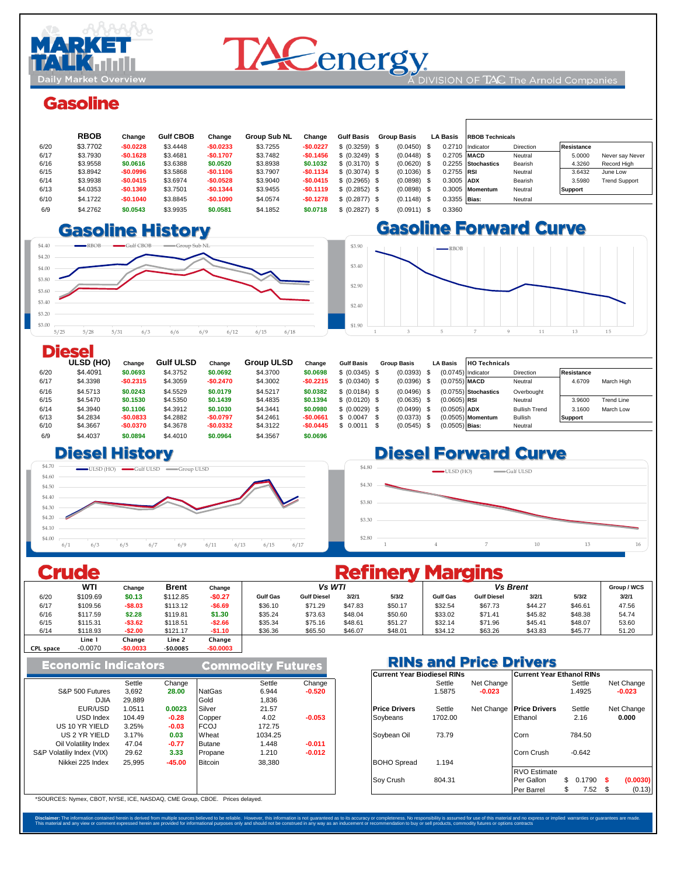

# **DACenergy**

DIVISION OF  $TAC$  The Arnold Companies

## **Gasoline**

|      | <b>RBOB</b> | Change     | <b>Gulf CBOB</b> | Change     | <b>Group Sub NL</b> | Change     | <b>Gulf Basis</b> | <b>Group Basis</b> |  | <b>LA Basis</b> | <b>RBOB Technicals</b> |           |                   |                      |
|------|-------------|------------|------------------|------------|---------------------|------------|-------------------|--------------------|--|-----------------|------------------------|-----------|-------------------|----------------------|
| 6/20 | \$3,7702    | $-$0.0228$ | \$3,4448         | $-$0.0233$ | \$3.7255            | $-$0.0227$ | \$ (0.3259) \$    | $(0.0450)$ \$      |  |                 | 0.2710 Indicator       | Direction | <b>Resistance</b> |                      |
| 6/17 | \$3,7930    | $-$0.1628$ | \$3.4681         | $-$0.1707$ | \$3,7482            | $-$0.1456$ | \$ (0.3249) \$    | $(0.0448)$ \$      |  | 0.2705 MACD     |                        | Neutral   | 5,0000            | Never say Never      |
| 6/16 | \$3.9558    | \$0,0616   | \$3.6388         | \$0.0520   | \$3.8938            | \$0.1032   | \$ (0.3170) \$    | $(0.0620)$ \$      |  |                 | 0.2255 Stochastics     | Bearish   | 4.3260            | Record High          |
| 6/15 | \$3.8942    | $-$0.0996$ | \$3.5868         | $-$0.1106$ | \$3.7907            | $-$0.1134$ | \$ (0.3074) \$    | $(0.1036)$ \$      |  | $0.2755$ RSI    |                        | Neutral   | 3.6432            | June Low             |
| 6/14 | \$3.9938    | $-$0.0415$ | \$3.6974         | $-$0.0528$ | \$3.9040            | $-$0.0415$ | \$ (0.2965) \$    | $(0.0898)$ \$      |  | 0.3005 ADX      |                        | Bearish   | 3.5980            | <b>Trend Support</b> |
| 6/13 | \$4.0353    | $-$0.1369$ | \$3.7501         | $-$0.1344$ | \$3.9455            | $-$0.1119$ | \$ (0.2852) \$    | $(0.0898)$ \$      |  |                 | 0.3005 Momentum        | Neutral   | <b>Support</b>    |                      |
| 6/10 | \$4,1722    | $-$0.1040$ | \$3.8845         | $-$0.1090$ | \$4,0574            | $-$0.1278$ | \$ (0.2877) \$    | $(0.1148)$ \$      |  | $0.3355$ Bias:  |                        | Neutral   |                   |                      |
| 6/9  | \$4,2762    | \$0.0543   | \$3.9935         | \$0.0581   | \$4.1852            | \$0.0718   | \$ (0.2827) \$    | $(0.0911)$ \$      |  | 0.3360          |                        |           |                   |                      |

### 6/7 \$4.1577 **-\$0.0353** \$3.8875 **-\$0.0140** \$3.9792 **\$0.0060** 0.401 6/6 \$4.1930 **-\$0.0592** \$3.9016 **-\$0.0667** \$3.9732 **-\$0.0967** 0.366



 $\mathbf{r}$ 



|      | <b>Diesel</b> |            |                  |            |                   |            |                   |      |                    |                      |                        |                      |                |                   |
|------|---------------|------------|------------------|------------|-------------------|------------|-------------------|------|--------------------|----------------------|------------------------|----------------------|----------------|-------------------|
|      | ULSD (HO)     | Change     | <b>Gulf ULSD</b> | Change     | <b>Group ULSD</b> | Change     | <b>Gulf Basis</b> |      | <b>Group Basis</b> | <b>LA Basis</b>      | <b>HO Technicals</b>   |                      |                |                   |
| 6/20 | \$4,4091      | \$0.0693   | \$4,3752         | \$0.0692   | \$4,3700          | \$0.0698   | \$ (0.0345) \$    |      | $(0.0393)$ \$      | $(0.0745)$ Indicator |                        | <b>Direction</b>     | Resistance     |                   |
| 6/17 | \$4.3398      | $-$0.2315$ | \$4.3059         | $-$0.2470$ | \$4.3002          | $-$0.2215$ | \$ (0.0340) \$    |      | $(0.0396)$ \$      | $(0.0755)$ MACD      |                        | Neutral              | 4.6709         | March High        |
| 6/16 | \$4,5713      | \$0.0243   | \$4,5529         | \$0,0179   | \$4,5217          | \$0.0382   | \$ (0.0184) \$    |      | $(0.0496)$ \$      |                      | $(0.0755)$ Stochastics | Overbought           |                |                   |
| 6/15 | \$4,5470      | \$0.1530   | \$4.5350         | \$0.1439   | \$4.4835          | \$0.1394   | \$ (0.0120) \$    |      | $(0.0635)$ \$      | $(0.0605)$ RSI       |                        | Neutral              | 3.9600         | <b>Trend Line</b> |
| 6/14 | \$4,3940      | \$0.1106   | \$4.3912         | \$0,1030   | \$4,3441          | \$0,0980   | \$ (0.0029) \$    |      | $(0.0499)$ \$      | $(0.0505)$ ADX       |                        | <b>Bullish Trend</b> | 3.1600         | March Low         |
| 6/13 | \$4.2834      | $-$0.0833$ | \$4.2882         | $-$0.0797$ | \$4,2461          | $-$0.0661$ | \$0.0047          | - \$ | $(0.0373)$ \$      |                      | $(0.0505)$ Momentum    | <b>Bullish</b>       | <b>Support</b> |                   |
| 6/10 | \$4.3667      | $-$0.0370$ | \$4.3678         | $-$0.0332$ | \$4.3122          | $-$0.0445$ | $$0.0011$ \$      |      | $(0.0545)$ \$      | $(0.0505)$ Bias:     |                        | Neutral              |                |                   |
| 6/9  | \$4,4037      | \$0.0894   | \$4,4010         | \$0.0964   | \$4,3567          | \$0,0696   |                   |      |                    |                      |                        |                      |                |                   |

#### **1.3143 \$1.321 \$1.30 \$4.31 \$1.320 \$4.31 \$1.321 \$1.321 \$4.320 \$4.320 \$4.31 \$4.320 \$4.31 \$4.320 \$4.31 \$4.320 \$4.31 \$4.320 \$4.31 \$4.320 \$4.320 \$4.320 \$4.320 \$4.320 \$4.320 \$4.320 \$4.320 \$4.320 \$4.320 \$4.320 \$4.320 \$4.320 \$4.32**



## **Diesel Forward Curve**



|                  |            |            |              |            | <b>Refinery Margins</b> |                    |         |         |                 |                    |         |         |       |  |  |  |
|------------------|------------|------------|--------------|------------|-------------------------|--------------------|---------|---------|-----------------|--------------------|---------|---------|-------|--|--|--|
|                  | <b>WTI</b> | Change     | <b>Brent</b> | Change     |                         | Vs WTI             |         |         |                 | Group / WCS        |         |         |       |  |  |  |
| 6/20             | \$109.69   | \$0.13     | \$112.85     | $-$0.27$   | <b>Gulf Gas</b>         | <b>Gulf Diesel</b> | 3/2/1   | 5/3/2   | <b>Gulf Gas</b> | <b>Gulf Diesel</b> | 3/2/1   | 5/3/2   | 3/2/1 |  |  |  |
| 6/17             | \$109.56   | $-$8.03$   | \$113.12     | $-$6.69$   | \$36.10                 | \$71.29            | \$47.83 | \$50.17 | \$32.54         | \$67.73            | \$44.27 | \$46.61 | 47.56 |  |  |  |
| 6/16             | \$117.59   | \$2.28     | \$119.81     | \$1.30     | \$35.24                 | \$73.63            | \$48.04 | \$50.60 | \$33.02         | \$71.41            | \$45.82 | \$48.38 | 54.74 |  |  |  |
| 6/15             | \$115.31   | $-$3.62$   | \$118.51     | $-$ \$2.66 | \$35.34                 | \$75.16            | \$48.61 | \$51.27 | \$32.14         | \$71.96            | \$45.41 | \$48.07 | 53.60 |  |  |  |
| 6/14             | \$118.93   | $-$2.00$   | \$121.17     | $-$1.10$   | \$36.36                 | \$65.50            | \$46.07 | \$48.01 | \$34.12         | \$63.26            | \$43.83 | \$45.77 | 51.20 |  |  |  |
|                  | Line 1     | Change     | Line 2       | Change     |                         |                    |         |         |                 |                    |         |         |       |  |  |  |
| <b>CPL space</b> | $-0.0070$  | $-$0.0033$ | $-$0.0085$   | $-$0.0003$ |                         |                    |         |         |                 |                    |         |         |       |  |  |  |

| <b>Economic Indicators</b> |        |          |                | <b>Commodity Futures</b> |          | <b>RINs and</b><br><b>Current Year Biodiesel R</b> |        |  |  |  |
|----------------------------|--------|----------|----------------|--------------------------|----------|----------------------------------------------------|--------|--|--|--|
|                            |        |          |                |                          |          |                                                    |        |  |  |  |
|                            | Settle | Change   |                | Settle                   | Change   |                                                    | Settle |  |  |  |
| S&P 500 Futures            | 3,692  | 28.00    | <b>NatGas</b>  | 6.944                    | $-0.520$ |                                                    | 1.5875 |  |  |  |
| <b>DJIA</b>                | 29.889 |          | Gold           | 1,836                    |          |                                                    |        |  |  |  |
| EUR/USD                    | 1.0511 | 0.0023   | Silver         | 21.57                    |          | <b>Price Drivers</b>                               | Settle |  |  |  |
| USD Index                  | 104.49 | $-0.28$  | Copper         | 4.02                     | $-0.053$ | Soybeans                                           | 1702.0 |  |  |  |
| US 10 YR YIELD             | 3.25%  | $-0.03$  | <b>FCOJ</b>    | 172.75                   |          |                                                    |        |  |  |  |
| US 2 YR YIELD              | 3.17%  | 0.03     | Wheat          | 1034.25                  |          | Soybean Oil                                        | 73.79  |  |  |  |
| Oil Volatility Index       | 47.04  | $-0.77$  | <b>Butane</b>  | 1.448                    | $-0.011$ |                                                    |        |  |  |  |
| S&P Volatiliy Index (VIX)  | 29.62  | 3.33     | Propane        | 1.210                    | $-0.012$ |                                                    |        |  |  |  |
| Nikkei 225 Index           | 25.995 | $-45.00$ | <b>Bitcoin</b> | 38.380                   |          | <b>BOHO</b> Spread                                 | 1.194  |  |  |  |
|                            |        |          |                |                          |          | Soy Crush                                          | 804.3' |  |  |  |

\*SOURCES: Nymex, CBOT, NYSE, ICE, NASDAQ, CME Group, CBOE. Prices delayed.

#### **RINs and Price Drivers**

|        |          |                |         |          | Current Year Biodiesel RINs |         |            | Current Year Ethanol RINs |              |                |
|--------|----------|----------------|---------|----------|-----------------------------|---------|------------|---------------------------|--------------|----------------|
| Settle | Change   |                | Settle  | Change   |                             | Settle  | Net Change |                           | Settle       | Net Change     |
| 3,692  | 28.00    | <b>NatGas</b>  | 6.944   | $-0.520$ |                             | 1.5875  | $-0.023$   |                           | 1.4925       | $-0.023$       |
| 29,889 |          | Gold           | 1,836   |          |                             |         |            |                           |              |                |
| 1.0511 | 0.0023   | Silver         | 21.57   |          | <b>Price Drivers</b>        | Settle  | Net Change | <b>Price Drivers</b>      | Settle       | Net Change     |
| 104.49 | $-0.28$  | Copper         | 4.02    | $-0.053$ | Sovbeans                    | 1702.00 |            | Ethanol                   | 2.16         | 0.000          |
| 3.25%  | $-0.03$  | <b>FCOJ</b>    | 172.75  |          |                             |         |            |                           |              |                |
| 3.17%  | 0.03     | Wheat          | 1034.25 |          | Soybean Oil                 | 73.79   |            | Corn                      | 784.50       |                |
| 47.04  | $-0.77$  | Butane         | 1.448   | $-0.011$ |                             |         |            |                           |              |                |
| 29.62  | 3.33     | Propane        | 1.210   | $-0.012$ |                             |         |            | Corn Crush                | $-0.642$     |                |
| 25.995 | $-45.00$ | <b>Bitcoin</b> | 38,380  |          | <b>BOHO</b> Spread          | 1.194   |            |                           |              |                |
|        |          |                |         |          |                             |         |            | <b>RVO Estimate</b>       |              |                |
|        |          |                |         |          | Sov Crush                   | 804.31  |            | Per Gallon                | \$<br>0.1790 | (0.0030)       |
|        |          |                |         |          |                             |         |            | Per Barrel                | 7.52<br>\$   | (0.13)<br>- \$ |

Disclaimer: The information contained herein is derived from multiple sources believed to be reliable. However, this information is not guarantees are made. This material ends to result in the controller bases only and the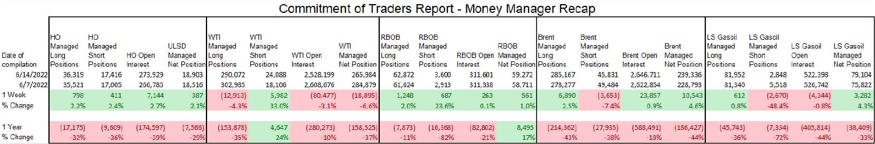## Commitment of Traders Report - Money Manager Recap

|             |           | HO        |            |                        | WТI       | WTI       |                 |                               | RBOB     | <b>RBOB</b> |                   |                               | <b>Brent</b> | <b>Brent</b> |                   |                        | LS Gasoil | LS Gasoil |                  |                     |
|-------------|-----------|-----------|------------|------------------------|-----------|-----------|-----------------|-------------------------------|----------|-------------|-------------------|-------------------------------|--------------|--------------|-------------------|------------------------|-----------|-----------|------------------|---------------------|
|             | Managed   | Managed   |            | <b>ULSD</b>            | Managed   | Managed   |                 | <b>WTI</b>                    | Managed  | Managed     |                   | <b>RBOB</b>                   | Managed      | Managed      |                   | <b>Brent</b>           | Managed   | Managed   | <b>LS Gasoil</b> | LS Gasoil           |
| Date of     | Long      | Short     | HO Open    | Managed                | Long      | Short     | <b>WTI Open</b> | Managed                       | Long     | Short       | RBOB Open Managed |                               | Long         | Short        | <b>Brent Open</b> | Managed                | Long      | Short     | Open             | Managed             |
| compilation | Positions | Positions | Interest   | Net Position Positions |           | Positions | Interest        | <b>Net Position Positions</b> |          | Positions   | Interest          | <b>Net Position Positions</b> |              | Positions    | Interest          | Net Position Positions |           | Positions | Interest         | <b>Net Position</b> |
| 6/14/2022   | 36,319    | 17,416    | 273,929    | 18,903                 | 290,072   | 24,088    | 2,528,199       | 265,984                       | 62,872   | 3,600       | 311,601           | 59,272                        | 285,167      | 45,831       | 2,646,711         | 239,336                | 81,952    | 2,848     | 522,398          | 79,104              |
| 6/7/2022    | 35,521    | 17,005    | 266,785    | 18,516                 | 302,985   | 18,106    | 2,608,676       | 284,879                       | 61,624   | 2,913       | 311,338           | 58,711                        | 278,277      | 49,484       | 2,622,854         | 228,793                | 81,340    | 5,518     | 526,742          | 75,822              |
| 1 Week      | 798       | 411       | 7,144      | 387                    | (12, 913) | 5,982     | (80, 477)       | (18, 895)                     | 1,248    | 687         | 263               | 561                           | 6,890        | (3, 653)     | 23,857            | 10,543                 | 612       | (2,670)   | (4, 344)         | 3,282               |
| % Change    | 2.2%      | 2.4%      | 2.7%       | 2.1%                   | $-4.3%$   | 33.0%     | $-3.1%$         | $-6.6%$                       | 2.0%     | 23.6%       | 0.1%              | 1.0%                          | 2.5%         | $-7.4%$      | 0.9%              | 4.6%                   | 0.8%      | $-48.4%$  | $-0.8%$          | 4.3%                |
|             |           |           |            |                        |           |           |                 |                               |          |             |                   |                               |              |              |                   |                        |           |           |                  |                     |
| 1 Year      | (17, 175) | (9,609)   | (174, 597) | (7, 566)               | 153,878)  | 4,647     | (280, 273)      | (158, 525)                    | (7, 873) | (16, 368)   | (82, 802)         | 8,495                         | (214, 362)   | (27, 935)    | (588, 491)        | (186, 427)             | (45, 743) | (7, 334)  | (405, 814)       | (38, 409)           |
| % Change    | $-32%$    | $-36%$    | $-39%$     | $-29%$                 | $-35%$    | 24%       | $-10%$          | $-379$                        | $-11%$   | $-82%$      | $-21%$            |                               | $-43%$       | $-38%$       | $-18%$            |                        | $-36%$    | $-72%$    | $-44%$           | $-339$              |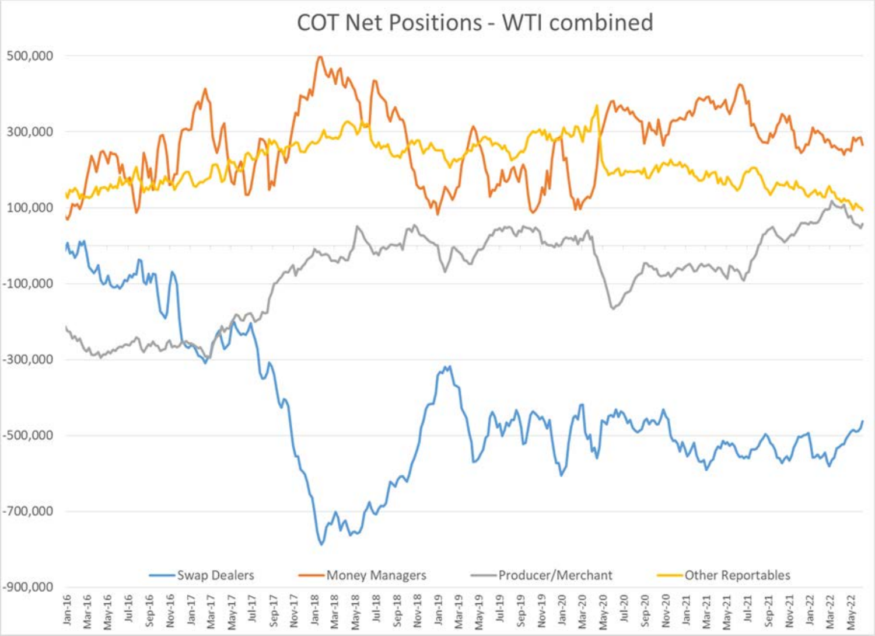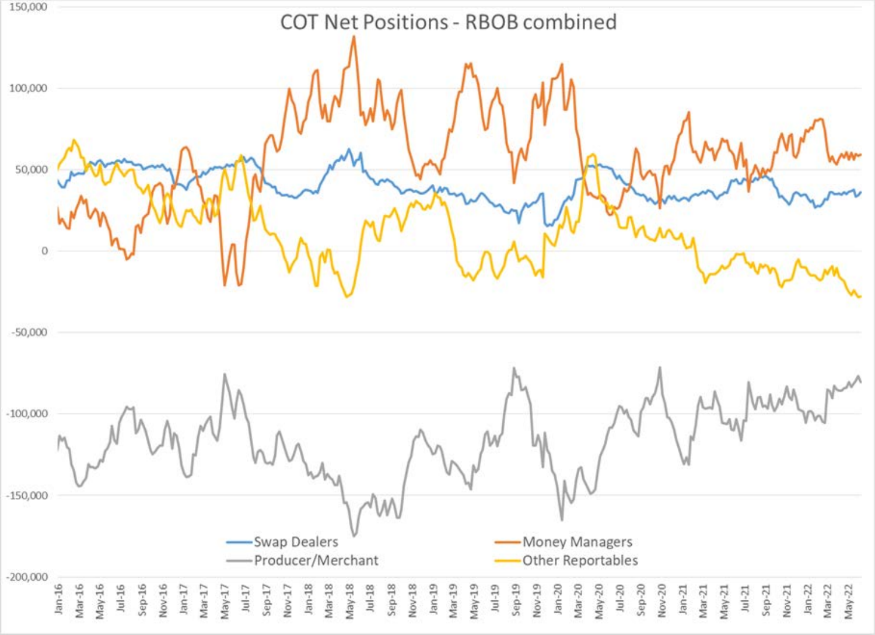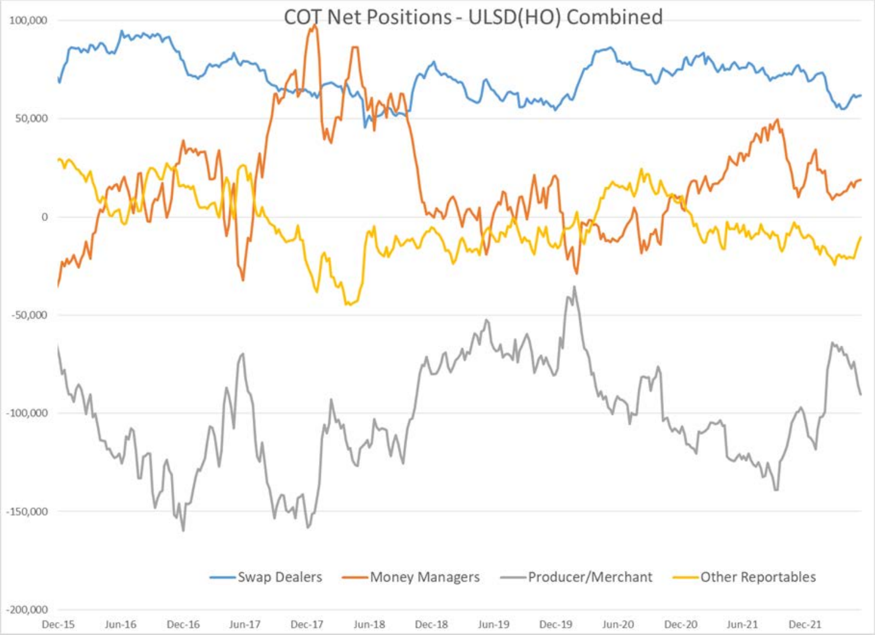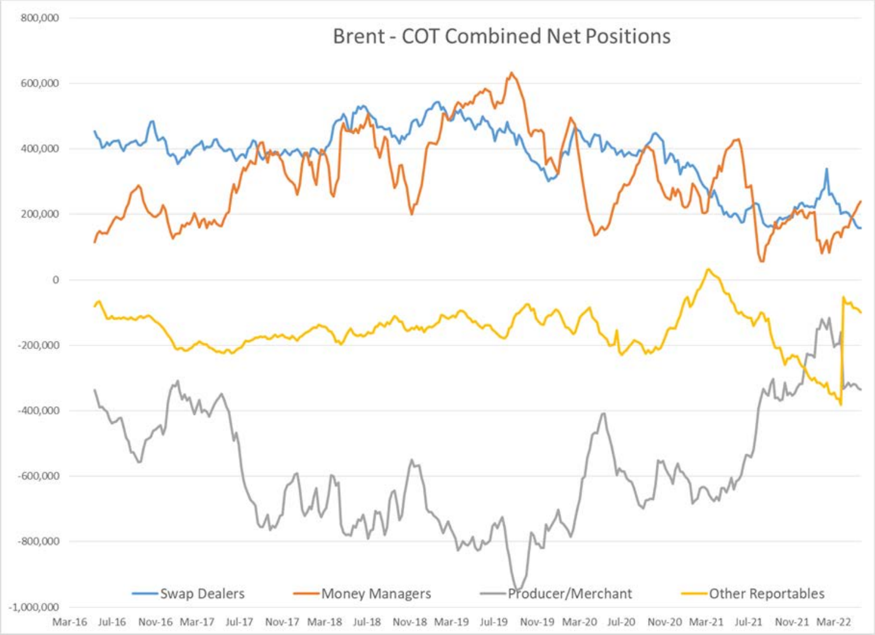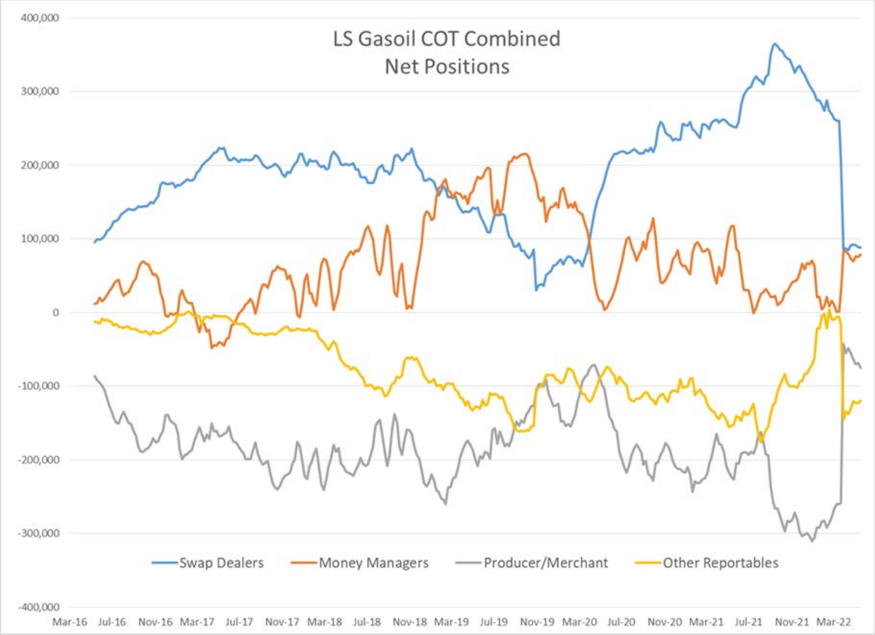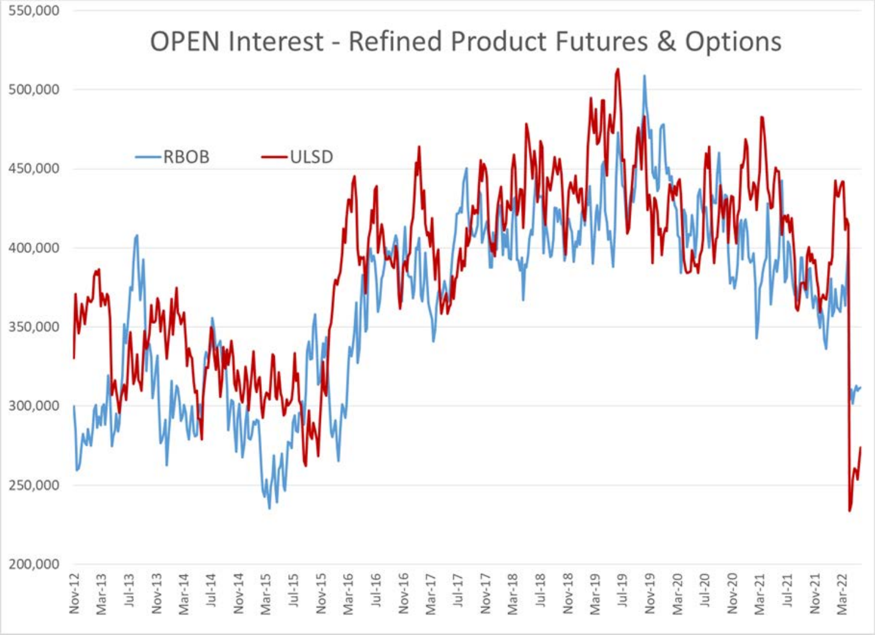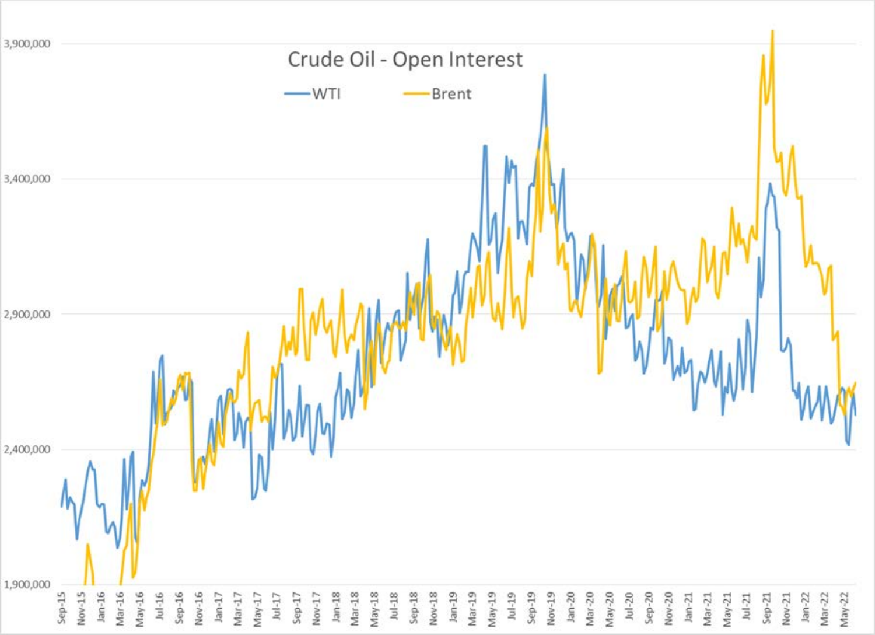